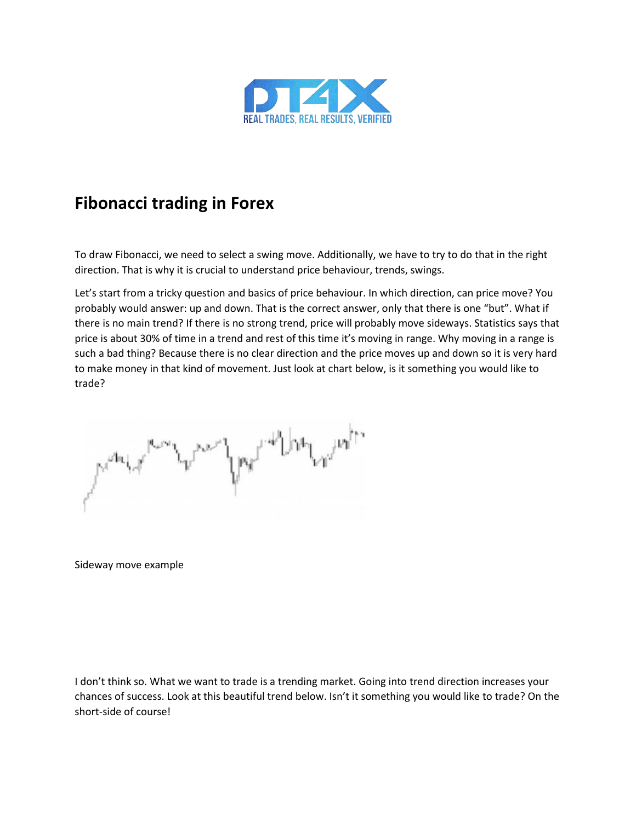

# **Fibonacci trading in Forex**

To draw Fibonacci, we need to select a swing move. Additionally, we have to try to do that in the right direction. That is why it is crucial to understand price behaviour, trends, swings.

Let's start from a tricky question and basics of price behaviour. In which direction, can price move? You probably would answer: up and down. That is the correct answer, only that there is one "but". What if there is no main trend? If there is no strong trend, price will probably move sideways. Statistics says that price is about 30% of time in a trend and rest of this time it's moving in range. Why moving in a range is such a bad thing? Because there is no clear direction and the price moves up and down so it is very hard to make money in that kind of movement. Just look at chart below, is it something you would like to trade?

Sideway move example

I don't think so. What we want to trade is a trending market. Going into trend direction increases your chances of success. Look at this beautiful trend below. Isn't it something you would like to trade? On the short-side of course!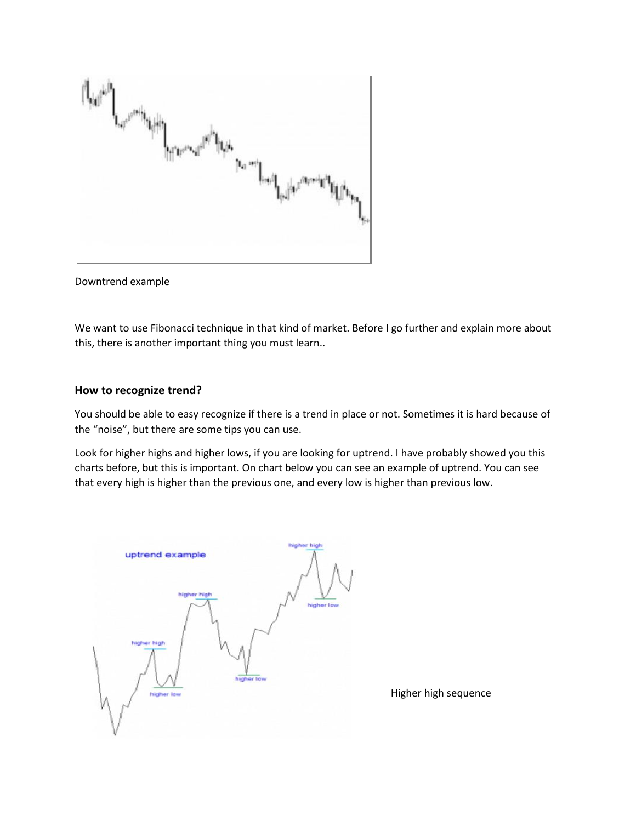

Downtrend example

We want to use Fibonacci technique in that kind of market. Before I go further and explain more about this, there is another important thing you must learn..

#### **How to recognize trend?**

You should be able to easy recognize if there is a trend in place or not. Sometimes it is hard because of the "noise", but there are some tips you can use.

Look for higher highs and higher lows, if you are looking for uptrend. I have probably showed you this charts before, but this is important. On chart below you can see an example of uptrend. You can see that every high is higher than the previous one, and every low is higher than previous low.



Higher high sequence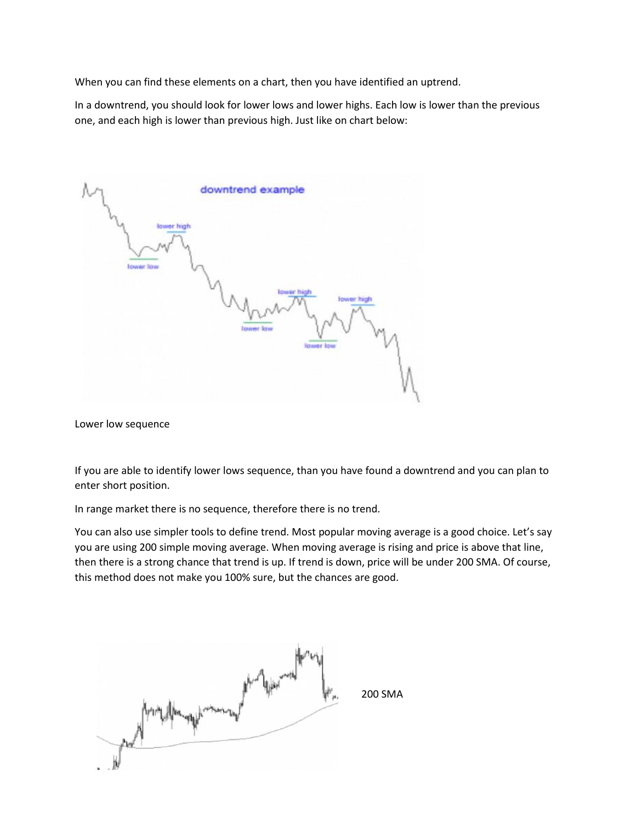When you can find these elements on a chart, then you have identified an uptrend.

In a downtrend, you should look for lower lows and lower highs. Each low is lower than the previous one, and each high is lower than previous high. Just like on chart below:

| downtrend example                                                                                  |
|----------------------------------------------------------------------------------------------------|
| lawer high<br><b>Tower Tow</b><br><b>Iower high</b><br>lower high<br><b>Tower law</b><br>lower low |
|                                                                                                    |

Lower low sequence

If you are able to identify lower lows sequence, than you have found a downtrend and you can plan to enter short position.

In range market there is no sequence, therefore there is no trend.

You can also use simpler tools to define trend. Most popular moving average is a good choice. Let's say you are using 200 simple moving average. When moving average is rising and price is above that line, then there is a strong chance that trend is up. If trend is down, price will be under 200 SMA. Of course, this method does not make you 100% sure, but the chances are good.

200 SMA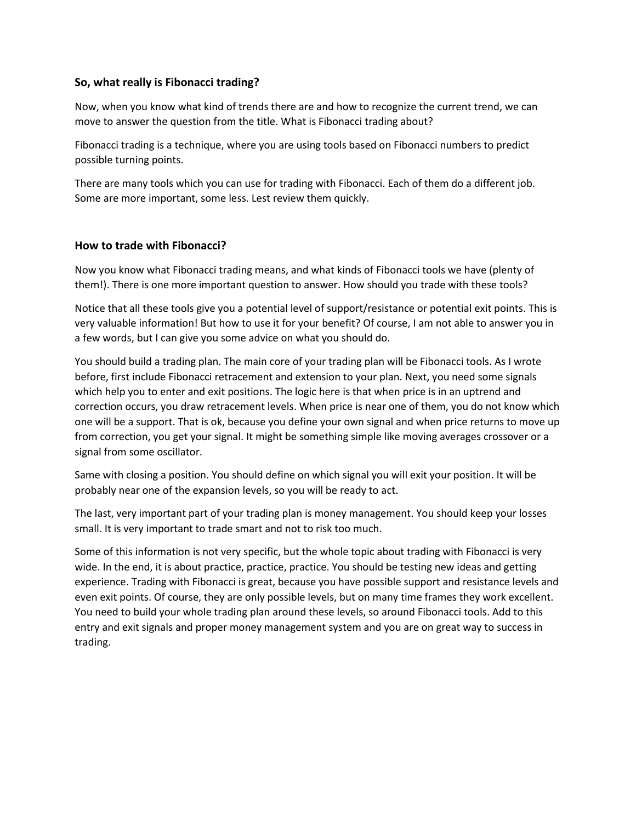### **So, what really is Fibonacci trading?**

Now, when you know what kind of trends there are and how to recognize the current trend, we can move to answer the question from the title. What is Fibonacci trading about?

Fibonacci trading is a technique, where you are using tools based on Fibonacci numbers to predict possible turning points.

There are many tools which you can use for trading with Fibonacci. Each of them do a different job. Some are more important, some less. Lest review them quickly.

## **How to trade with Fibonacci?**

Now you know what Fibonacci trading means, and what kinds of Fibonacci tools we have (plenty of them!). There is one more important question to answer. How should you trade with these tools?

Notice that all these tools give you a potential level of support/resistance or potential exit points. This is very valuable information! But how to use it for your benefit? Of course, I am not able to answer you in a few words, but I can give you some advice on what you should do.

You should build a trading plan. The main core of your trading plan will be Fibonacci tools. As I wrote before, first include Fibonacci retracement and extension to your plan. Next, you need some signals which help you to enter and exit positions. The logic here is that when price is in an uptrend and correction occurs, you draw retracement levels. When price is near one of them, you do not know which one will be a support. That is ok, because you define your own signal and when price returns to move up from correction, you get your signal. It might be something simple like moving averages crossover or a signal from some oscillator.

Same with closing a position. You should define on which signal you will exit your position. It will be probably near one of the expansion levels, so you will be ready to act.

The last, very important part of your trading plan is money management. You should keep your losses small. It is very important to trade smart and not to risk too much.

Some of this information is not very specific, but the whole topic about trading with Fibonacci is very wide. In the end, it is about practice, practice, practice. You should be testing new ideas and getting experience. Trading with Fibonacci is great, because you have possible support and resistance levels and even exit points. Of course, they are only possible levels, but on many time frames they work excellent. You need to build your whole trading plan around these levels, so around Fibonacci tools. Add to this entry and exit signals and proper money management system and you are on great way to success in trading.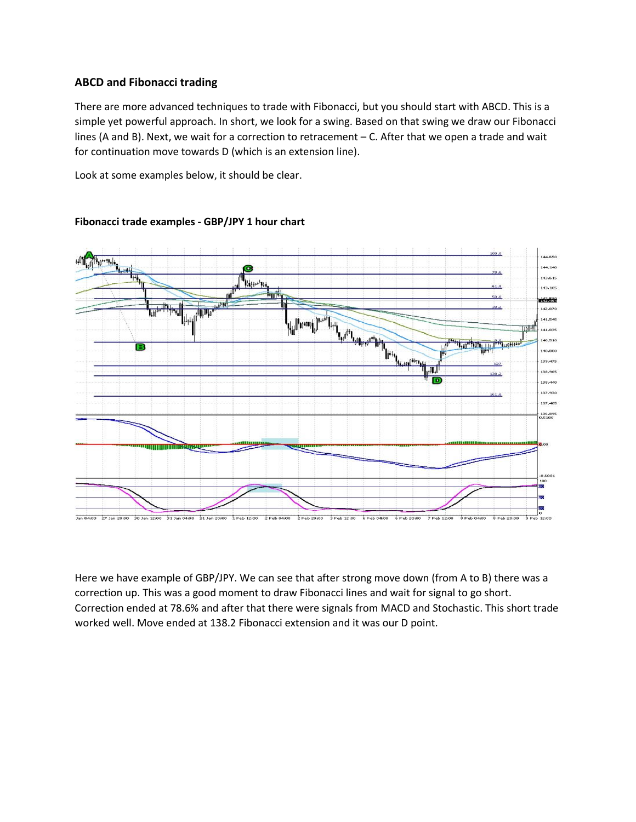## **ABCD and Fibonacci trading**

There are more advanced techniques to trade with Fibonacci, but you should start with ABCD. This is a simple yet powerful approach. In short, we look for a swing. Based on that swing we draw our Fibonacci lines (A and B). Next, we wait for a correction to retracement – C. After that we open a trade and wait for continuation move towards D (which is an extension line).

Look at some examples below, it should be clear.



### **Fibonacci trade examples - GBP/JPY 1 hour chart**

Here we have example of GBP/JPY. We can see that after strong move down (from A to B) there was a correction up. This was a good moment to draw Fibonacci lines and wait for signal to go short. Correction ended at 78.6% and after that there were signals from MACD and Stochastic. This short trade worked well. Move ended at 138.2 Fibonacci extension and it was our D point.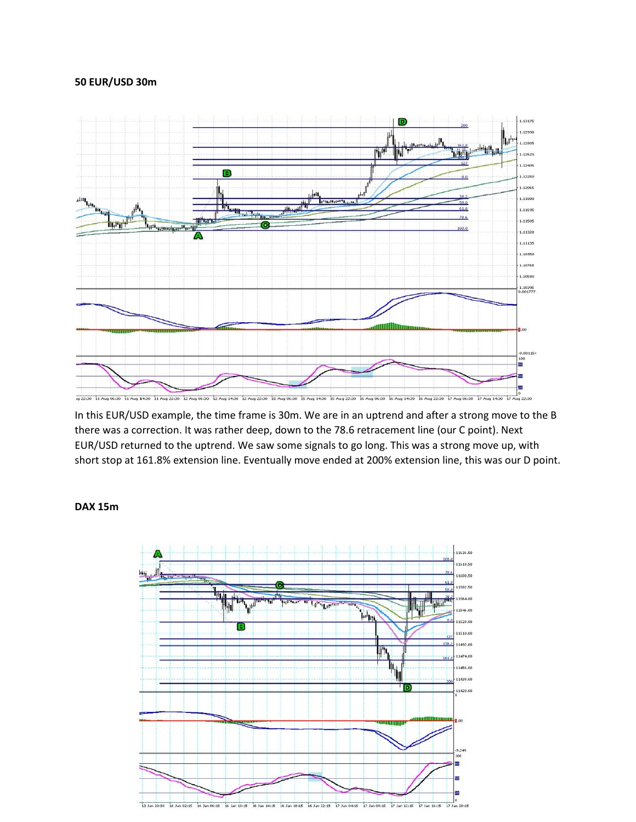#### **50 EUR/USD 30m**



In this EUR/USD example, the time frame is 30m. We are in an uptrend and after a strong move to the B there was a correction. It was rather deep, down to the 78.6 retracement line (our C point). Next EUR/USD returned to the uptrend. We saw some signals to go long. This was a strong move up, with short stop at 161.8% extension line. Eventually move ended at 200% extension line, this was our D point.

#### **DAX 15m**